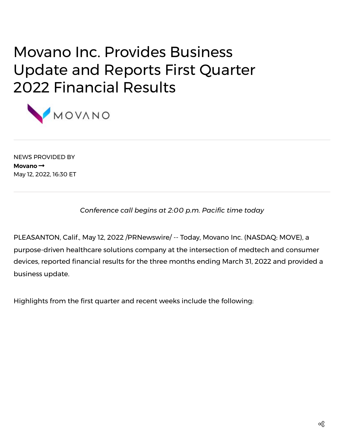# Movano Inc. Provides Business Update and Reports First Quarter 2022 Financial Results



NEWS PROVIDED BY **[Movano](https://www.prnewswire.com/news/movano/)** May 12, 2022, 16:30 ET

*Conference call begins at 2:00 p.m. Pacific time today*

PLEASANTON, Calif., May 12, 2022 /PRNewswire/ -- Today, [Movano](https://c212.net/c/link/?t=0&l=en&o=3534390-1&h=2564495532&u=https%3A%2F%2Fmovano.com%2F&a=Movano+Inc.) Inc. (NASDAQ: MOVE), a purpose-driven healthcare solutions company at the intersection of medtech and consumer devices, reported financial results for the three months ending March 31, 2022 and provided a business update.

Highlights from the first quarter and recent weeks include the following: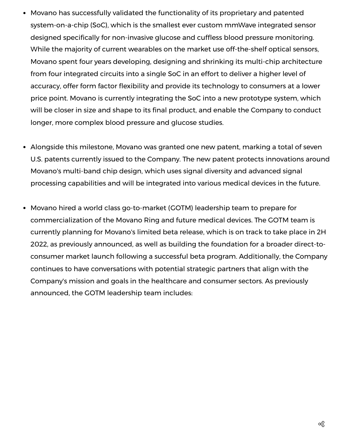- Movano has successfully validated the functionality of its proprietary and patented system-on-a-chip (SoC), which is the smallest ever custom mmWave integrated sensor designed specifically for non-invasive glucose and cuffless blood pressure monitoring. While the majority of current wearables on the market use off-the-shelf optical sensors, Movano spent four years developing, designing and shrinking its multi-chip architecture from four integrated circuits into a single SoC in an effort to deliver a higher level of accuracy, offer form factor flexibility and provide its technology to consumers at a lower price point. Movano is currently integrating the SoC into a new prototype system, which will be closer in size and shape to its final product, and enable the Company to conduct longer, more complex blood pressure and glucose studies.
- Alongside this milestone, Movano was granted one new patent, marking a total of seven U.S. patents currently issued to the Company. The new patent protects innovations around Movano's multi-band chip design, which uses signal diversity and advanced signal processing capabilities and will be integrated into various medical devices in the future.
- Movano hired a world class go-to-market (GOTM) leadership team to prepare for commercialization of the Movano Ring and future medical devices. The GOTM team is currently planning for Movano's limited beta release, which is on track to take place in 2H 2022, as previously announced, as well as building the foundation for a broader direct-toconsumer market launch following a successful beta program. Additionally, the Company continues to have conversations with potential strategic partners that align with the Company's mission and goals in the healthcare and consumer sectors. As previously announced, the GOTM leadership team includes: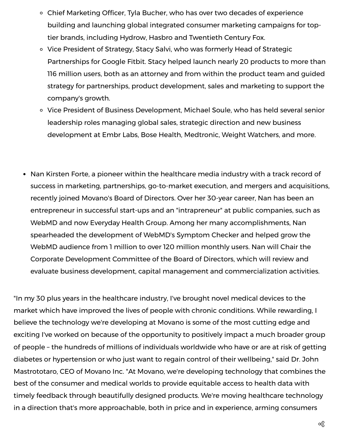- Chief Marketing Officer, Tyla Bucher, who has over two decades of experience building and launching global integrated consumer marketing campaigns for toptier brands, including Hydrow, Hasbro and Twentieth Century Fox.
- <sup>o</sup> Vice President of Strategy, Stacy Salvi, who was formerly Head of Strategic Partnerships for Google Fitbit. Stacy helped launch nearly 20 products to more than 116 million users, both as an attorney and from within the product team and guided strategy for partnerships, product development, sales and marketing to support the company's growth.
- Vice President of Business Development, Michael Soule, who has held several senior leadership roles managing global sales, strategic direction and new business development at Embr Labs, Bose Health, Medtronic, Weight Watchers, and more.
- Nan Kirsten Forte, a pioneer within the healthcare media industry with a track record of success in marketing, partnerships, go-to-market execution, and mergers and acquisitions, recently joined Movano's Board of Directors. Over her 30-year career, Nan has been an entrepreneur in successful start-ups and an "intrapreneur" at public companies, such as WebMD and now Everyday Health Group. Among her many accomplishments, Nan spearheaded the development of WebMD's Symptom Checker and helped grow the WebMD audience from 1 million to over 120 million monthly users. Nan will Chair the Corporate Development Committee of the Board of Directors, which will review and evaluate business development, capital management and commercialization activities.

"In my 30 plus years in the healthcare industry, I've brought novel medical devices to the market which have improved the lives of people with chronic conditions. While rewarding, I believe the technology we're developing at Movano is some of the most cutting edge and exciting I've worked on because of the opportunity to positively impact a much broader group of people – the hundreds of millions of individuals worldwide who have or are at risk of getting diabetes or hypertension or who just want to regain control of their wellbeing," said Dr. John Mastrototaro, CEO of Movano Inc. "At Movano, we're developing technology that combines the best of the consumer and medical worlds to provide equitable access to health data with timely feedback through beautifully designed products. We're moving healthcare technology in a direction that's more approachable, both in price and in experience, arming consumers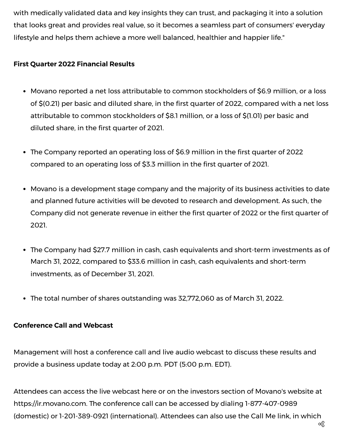with medically validated data and key insights they can trust, and packaging it into a solution that looks great and provides real value, so it becomes a seamless part of consumers' everyday lifestyle and helps them achieve a more well balanced, healthier and happier life."

# **First Quarter 2022 Financial Results**

- Movano reported a net loss attributable to common stockholders of \$6.9 million, or a loss of \$(0.21) per basic and diluted share, in the first quarter of 2022, compared with a net loss attributable to common stockholders of \$8.1 million, or a loss of \$(1.01) per basic and diluted share, in the first quarter of 2021.
- The Company reported an operating loss of \$6.9 million in the first quarter of 2022 compared to an operating loss of \$3.3 million in the first quarter of 2021.
- Movano is a development stage company and the majority of its business activities to date and planned future activities will be devoted to research and development. As such, the Company did not generate revenue in either the first quarter of 2022 or the first quarter of 2021.
- The Company had \$27.7 million in cash, cash equivalents and short-term investments as of March 31, 2022, compared to \$33.6 million in cash, cash equivalents and short-term investments, as of December 31, 2021.
- The total number of shares outstanding was 32,772,060 as of March 31, 2022.

# **Conference Call and Webcast**

Management will host a conference call and live audio webcast to discuss these results and provide a business update today at 2:00 p.m. PDT (5:00 p.m. EDT).

Attendees can access the live webcast [here](https://c212.net/c/link/?t=0&l=en&o=3534390-1&h=1829045013&u=https%3A%2F%2Fwww.webcast-eqs.com%2Fmovano1q22_en%2Fen&a=here) or on the investors section of Movano's website at [https://ir.movano.com.](about:blank) The conference call can be accessed by dialing 1-877-407-0989 (domestic) or 1-201-389-0921 (international). Attendees can also use the [Call](https://c212.net/c/link/?t=0&l=en&o=3534390-1&h=3534779448&u=https%3A%2F%2Fhd.choruscall.com%2FInComm%2F%3Fcallme%3Dtrue%26passcode%3D13729462%26h%3Dtrue%26info%3Dcompany%26r%3Dtrue%26B%3D6&a=Call+Me+link) Me link, in which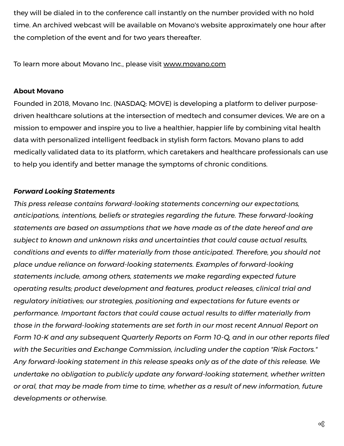they will be dialed in to the conference call instantly on the number provided with no hold time. An archived webcast will be available on Movano's website approximately one hour after the completion of the event and for two years thereafter.

To learn more about Movano Inc., please visit [www.movano.com](https://c212.net/c/link/?t=0&l=en&o=3534390-1&h=3148045550&u=https%3A%2F%2Fmovano.com%2F&a=www.movano.com)

## **About Movano**

Founded in 2018, Movano Inc. (NASDAQ: MOVE) is developing a platform to deliver purposedriven healthcare solutions at the intersection of medtech and consumer devices. We are on a mission to empower and inspire you to live a healthier, happier life by combining vital health data with personalized intelligent feedback in stylish form factors. Movano plans to add medically validated data to its platform, which caretakers and healthcare professionals can use to help you identify and better manage the symptoms of chronic conditions.

## *Forward Looking Statements*

*This press release contains forward-looking statements concerning our expectations, anticipations, intentions, beliefs or strategies regarding the future. These forward-looking statements are based on assumptions that we have made as of the date hereof and are subject to known and unknown risks and uncertainties that could cause actual results, conditions and events to differ materially from those anticipated. Therefore, you should not place undue reliance on forward-looking statements. Examples of forward-looking statements include, among others, statements we make regarding expected future operating results; product development and features, product releases, clinical trial and regulatory initiatives; our strategies, positioning and expectations for future events or performance. Important factors that could cause actual results to differ materially from those in the forward-looking statements are set forth in our most recent Annual Report on Form 10-K and any subsequent Quarterly Reports on Form 10-Q, and in our other reports filed with the Securities and Exchange Commission, including under the caption "Risk Factors." Any forward-looking statement in this release speaks only as of the date of this release. We undertake no obligation to publicly update any forward-looking statement, whether written or oral, that may be made from time to time, whether as a result of new information, future developments or otherwise.*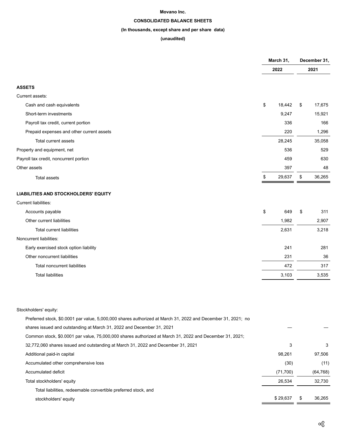#### **Movano Inc.**

## **CONSOLIDATED BALANCE SHEETS**

## **(In thousands, except share and per share data)**

### **(unaudited)**

|                                                                                                              | March 31,<br>2022 |           | December 31,<br>2021 |           |
|--------------------------------------------------------------------------------------------------------------|-------------------|-----------|----------------------|-----------|
|                                                                                                              |                   |           |                      |           |
| <b>ASSETS</b>                                                                                                |                   |           |                      |           |
| Current assets:                                                                                              |                   |           |                      |           |
| Cash and cash equivalents                                                                                    | \$                | 18,442    | \$                   | 17,675    |
| Short-term investments                                                                                       |                   | 9,247     |                      | 15,921    |
| Payroll tax credit, current portion                                                                          |                   | 336       |                      | 166       |
| Prepaid expenses and other current assets                                                                    |                   | 220       |                      | 1,296     |
| Total current assets                                                                                         |                   | 28,245    |                      | 35,058    |
| Property and equipment, net                                                                                  |                   | 536       |                      | 529       |
| Payroll tax credit, noncurrent portion                                                                       |                   | 459       |                      | 630       |
| Other assets                                                                                                 |                   | 397       |                      | 48        |
| <b>Total assets</b>                                                                                          | \$                | 29,637    | \$                   | 36,265    |
| <b>LIABILITIES AND STOCKHOLDERS' EQUITY</b>                                                                  |                   |           |                      |           |
| Current liabilities:                                                                                         |                   |           |                      |           |
| Accounts payable                                                                                             | \$                | 649       | \$                   | 311       |
| Other current liabilities                                                                                    |                   | 1,982     |                      | 2,907     |
| <b>Total current liabilities</b>                                                                             |                   | 2,631     |                      | 3,218     |
| Noncurrent liabilities:                                                                                      |                   |           |                      |           |
| Early exercised stock option liability                                                                       |                   | 241       |                      | 281       |
| Other noncurrent liabilities                                                                                 |                   | 231       |                      | 36        |
| <b>Total noncurrent liabilities</b>                                                                          |                   | 472       |                      | 317       |
| <b>Total liabilities</b>                                                                                     |                   | 3,103     |                      | 3,535     |
|                                                                                                              |                   |           |                      |           |
| Stockholders' equity:                                                                                        |                   |           |                      |           |
| Preferred stock, \$0.0001 par value, 5,000,000 shares authorized at March 31, 2022 and December 31, 2021; no |                   |           |                      |           |
| shares issued and outstanding at March 31, 2022 and December 31, 2021                                        |                   |           |                      |           |
| Common stock, \$0.0001 par value, 75,000,000 shares authorized at March 31, 2022 and December 31, 2021;      |                   |           |                      |           |
| 32,772,060 shares issued and outstanding at March 31, 2022 and December 31, 2021                             |                   | 3         |                      | 3         |
| Additional paid-in capital                                                                                   |                   | 98,261    |                      | 97,506    |
| Accumulated other comprehensive loss                                                                         |                   | (30)      |                      | (11)      |
| Accumulated deficit                                                                                          |                   | (71, 700) |                      | (64, 768) |
| Total stockholders' equity                                                                                   |                   | 26,534    |                      | 32,730    |
| Total liabilities, redeemable convertible preferred stock, and                                               |                   |           |                      |           |
| stockholders' equity                                                                                         |                   | \$29,637  | \$                   | 36,265    |